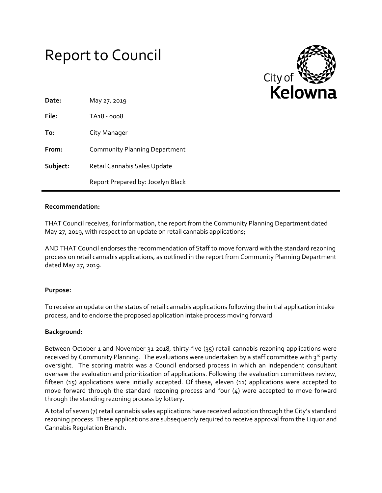# Report to Council



| Date:    | May 27, 2019                         |
|----------|--------------------------------------|
| File:    | TA <sub>18</sub> - 0008              |
| To:      | City Manager                         |
| From:    | <b>Community Planning Department</b> |
| Subject: | Retail Cannabis Sales Update         |
|          | Report Prepared by: Jocelyn Black    |

### **Recommendation:**

THAT Council receives, for information, the report from the Community Planning Department dated May 27, 2019, with respect to an update on retail cannabis applications;

AND THAT Council endorses the recommendation of Staff to move forward with the standard rezoning process on retail cannabis applications, as outlined in the report from Community Planning Department dated May 27, 2019.

# **Purpose:**

To receive an update on the status of retail cannabis applications following the initial application intake process, and to endorse the proposed application intake process moving forward.

# **Background:**

Between October 1 and November 31 2018, thirty-five (35) retail cannabis rezoning applications were received by Community Planning. The evaluations were undertaken by a staff committee with 3rd party oversight. The scoring matrix was a Council endorsed process in which an independent consultant oversaw the evaluation and prioritization of applications. Following the evaluation committees review, fifteen (15) applications were initially accepted. Of these, eleven (11) applications were accepted to move forward through the standard rezoning process and four (4) were accepted to move forward through the standing rezoning process by lottery.

A total of seven (7) retail cannabis sales applications have received adoption through the City's standard rezoning process. These applications are subsequently required to receive approval from the Liquor and Cannabis Regulation Branch.